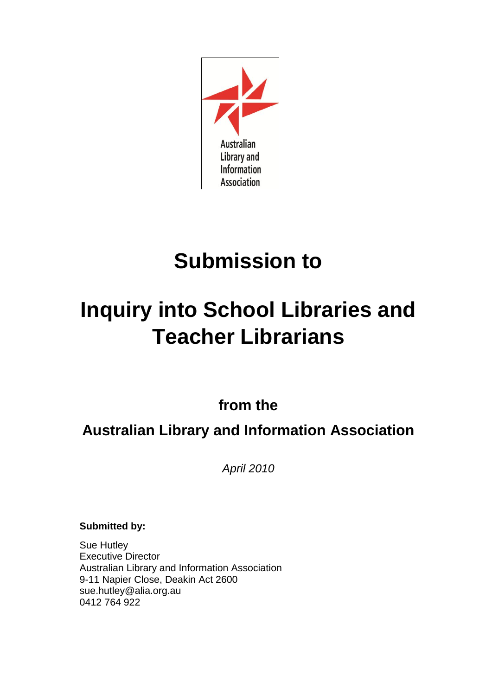

# **Submission to**

# **Inquiry into School Libraries and Teacher Librarians**

**from the**

**Australian Library and Information Association**

*April 2010*

**Submitted by:**

Sue Hutley Executive Director Australian Library and Information Association 9-11 Napier Close, Deakin Act 2600 sue.hutley@alia.org.au 0412 764 922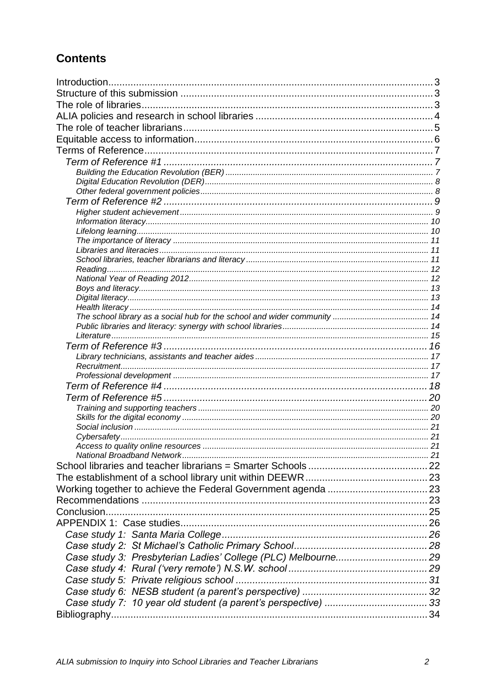# **Contents**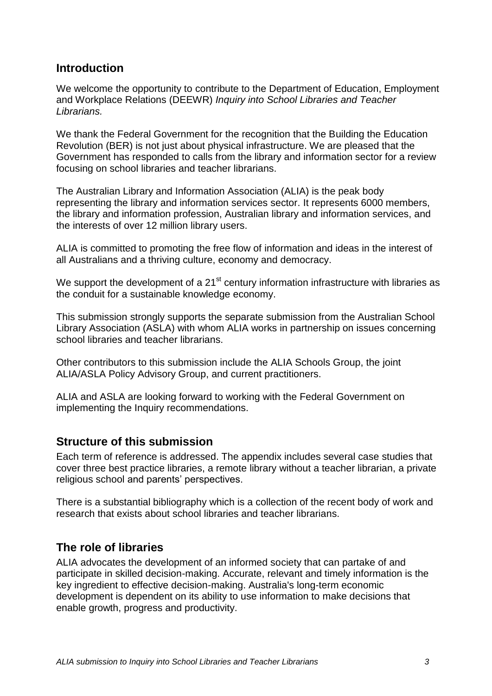## <span id="page-2-0"></span>**Introduction**

We welcome the opportunity to contribute to the Department of Education, Employment and Workplace Relations (DEEWR) *Inquiry into School Libraries and Teacher Librarians.*

We thank the Federal Government for the recognition that the Building the Education Revolution (BER) is not just about physical infrastructure. We are pleased that the Government has responded to calls from the library and information sector for a review focusing on school libraries and teacher librarians.

The Australian Library and Information Association (ALIA) is the peak body representing the library and information services sector. It represents 6000 members, the library and information profession, Australian library and information services, and the interests of over 12 million library users.

ALIA is committed to promoting the free flow of information and ideas in the interest of all Australians and a thriving culture, economy and democracy.

We support the development of a  $21<sup>st</sup>$  century information infrastructure with libraries as the conduit for a sustainable knowledge economy.

This submission strongly supports the separate submission from the Australian School Library Association (ASLA) with whom ALIA works in partnership on issues concerning school libraries and teacher librarians.

Other contributors to this submission include the ALIA Schools Group, the joint ALIA/ASLA Policy Advisory Group, and current practitioners.

ALIA and ASLA are looking forward to working with the Federal Government on implementing the Inquiry recommendations.

## <span id="page-2-1"></span>**Structure of this submission**

Each term of reference is addressed. The appendix includes several case studies that cover three best practice libraries, a remote library without a teacher librarian, a private religious school and parents' perspectives.

There is a substantial bibliography which is a collection of the recent body of work and research that exists about school libraries and teacher librarians.

# <span id="page-2-2"></span>**The role of libraries**

ALIA advocates the development of an informed society that can partake of and participate in skilled decision-making. Accurate, relevant and timely information is the key ingredient to effective decision-making. Australia's long-term economic development is dependent on its ability to use information to make decisions that enable growth, progress and productivity.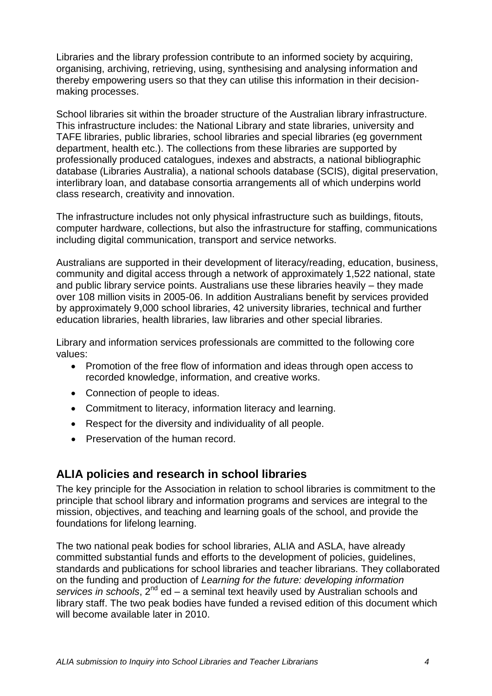Libraries and the library profession contribute to an informed society by acquiring, organising, archiving, retrieving, using, synthesising and analysing information and thereby empowering users so that they can utilise this information in their decisionmaking processes.

School libraries sit within the broader structure of the Australian library infrastructure. This infrastructure includes: the National Library and state libraries, university and TAFE libraries, public libraries, school libraries and special libraries (eg government department, health etc.). The collections from these libraries are supported by professionally produced catalogues, indexes and abstracts, a national bibliographic database (Libraries Australia), a national schools database (SCIS), digital preservation, interlibrary loan, and database consortia arrangements all of which underpins world class research, creativity and innovation.

The infrastructure includes not only physical infrastructure such as buildings, fitouts, computer hardware, collections, but also the infrastructure for staffing, communications including digital communication, transport and service networks.

Australians are supported in their development of literacy/reading, education, business, community and digital access through a network of approximately 1,522 national, state and public library service points. Australians use these libraries heavily – they made over 108 million visits in 2005-06. In addition Australians benefit by services provided by approximately 9,000 school libraries, 42 university libraries, technical and further education libraries, health libraries, law libraries and other special libraries.

Library and information services professionals are committed to the following core values:

- Promotion of the free flow of information and ideas through open access to recorded knowledge, information, and creative works.
- Connection of people to ideas.
- Commitment to literacy, information literacy and learning.
- Respect for the diversity and individuality of all people.
- Preservation of the human record.

## <span id="page-3-0"></span>**ALIA policies and research in school libraries**

The key principle for the Association in relation to school libraries is commitment to the principle that school library and information programs and services are integral to the mission, objectives, and teaching and learning goals of the school, and provide the foundations for lifelong learning.

The two national peak bodies for school libraries, ALIA and ASLA, have already committed substantial funds and efforts to the development of policies, guidelines, standards and publications for school libraries and teacher librarians. They collaborated on the funding and production of *Learning for the future: developing information services in schools*, 2nd ed – a seminal text heavily used by Australian schools and library staff. The two peak bodies have funded a revised edition of this document which will become available later in 2010.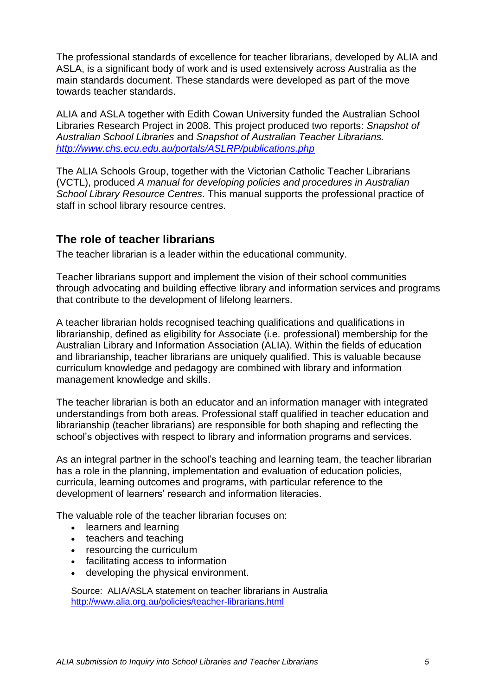The professional standards of excellence for teacher librarians, developed by ALIA and ASLA, is a significant body of work and is used extensively across Australia as the main standards document. These standards were developed as part of the move towards teacher standards.

ALIA and ASLA together with Edith Cowan University funded the Australian School Libraries Research Project in 2008. This project produced two reports: *Snapshot of Australian School Libraries* and *Snapshot of Australian Teacher Librarians. <http://www.chs.ecu.edu.au/portals/ASLRP/publications.php>*

The ALIA Schools Group, together with the Victorian Catholic Teacher Librarians (VCTL), produced *A manual for developing policies and procedures in Australian School Library Resource Centres*. This manual supports the professional practice of staff in school library resource centres.

## <span id="page-4-0"></span>**The role of teacher librarians**

The teacher librarian is a leader within the educational community.

Teacher librarians support and implement the vision of their school communities through advocating and building effective library and information services and programs that contribute to the development of lifelong learners.

A teacher librarian holds recognised teaching qualifications and qualifications in librarianship, defined as eligibility for Associate (i.e. professional) membership for the Australian Library and Information Association (ALIA). Within the fields of education and librarianship, teacher librarians are uniquely qualified. This is valuable because curriculum knowledge and pedagogy are combined with library and information management knowledge and skills.

The teacher librarian is both an educator and an information manager with integrated understandings from both areas. Professional staff qualified in teacher education and librarianship (teacher librarians) are responsible for both shaping and reflecting the school"s objectives with respect to library and information programs and services.

As an integral partner in the school"s teaching and learning team, the teacher librarian has a role in the planning, implementation and evaluation of education policies, curricula, learning outcomes and programs, with particular reference to the development of learners" research and information literacies.

The valuable role of the teacher librarian focuses on:

- learners and learning
- teachers and teaching
- resourcing the curriculum
- facilitating access to information
- developing the physical environment.

Source: ALIA/ASLA statement on teacher librarians in Australia <http://www.alia.org.au/policies/teacher-librarians.html>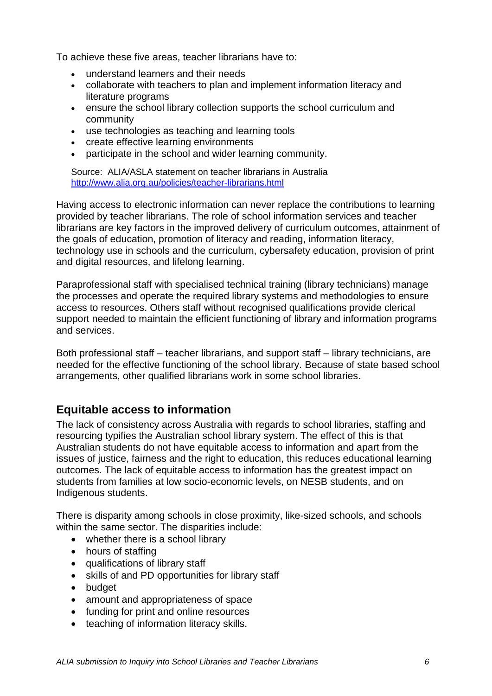To achieve these five areas, teacher librarians have to:

- understand learners and their needs
- collaborate with teachers to plan and implement information literacy and literature programs
- ensure the school library collection supports the school curriculum and community
- use technologies as teaching and learning tools
- create effective learning environments
- participate in the school and wider learning community.

Source: ALIA/ASLA statement on teacher librarians in Australia <http://www.alia.org.au/policies/teacher-librarians.html>

Having access to electronic information can never replace the contributions to learning provided by teacher librarians. The role of school information services and teacher librarians are key factors in the improved delivery of curriculum outcomes, attainment of the goals of education, promotion of literacy and reading, information literacy, technology use in schools and the curriculum, cybersafety education, provision of print and digital resources, and lifelong learning.

Paraprofessional staff with specialised technical training (library technicians) manage the processes and operate the required library systems and methodologies to ensure access to resources. Others staff without recognised qualifications provide clerical support needed to maintain the efficient functioning of library and information programs and services.

Both professional staff – teacher librarians, and support staff – library technicians, are needed for the effective functioning of the school library. Because of state based school arrangements, other qualified librarians work in some school libraries.

## <span id="page-5-0"></span>**Equitable access to information**

The lack of consistency across Australia with regards to school libraries, staffing and resourcing typifies the Australian school library system. The effect of this is that Australian students do not have equitable access to information and apart from the issues of justice, fairness and the right to education, this reduces educational learning outcomes. The lack of equitable access to information has the greatest impact on students from families at low socio-economic levels, on NESB students, and on Indigenous students.

There is disparity among schools in close proximity, like-sized schools, and schools within the same sector. The disparities include:

- whether there is a school library
- hours of staffing
- qualifications of library staff
- skills of and PD opportunities for library staff
- budget
- amount and appropriateness of space
- funding for print and online resources
- teaching of information literacy skills.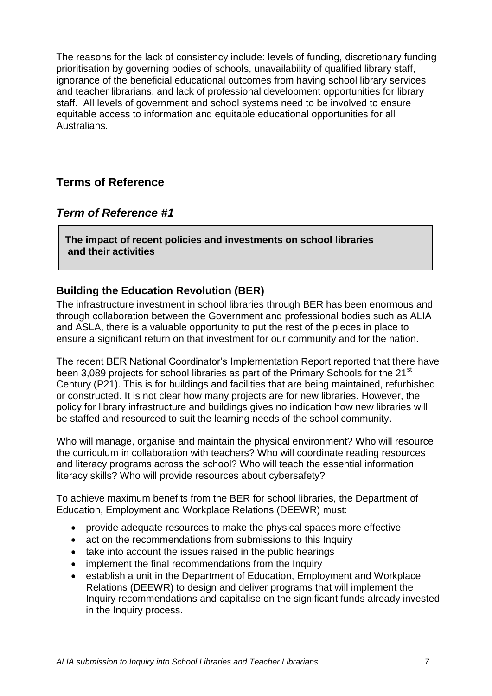The reasons for the lack of consistency include: levels of funding, discretionary funding prioritisation by governing bodies of schools, unavailability of qualified library staff, ignorance of the beneficial educational outcomes from having school library services and teacher librarians, and lack of professional development opportunities for library staff. All levels of government and school systems need to be involved to ensure equitable access to information and equitable educational opportunities for all **Australians** 

# <span id="page-6-0"></span>**Terms of Reference**

## <span id="page-6-1"></span>*Term of Reference #1*

**The impact of recent policies and investments on school libraries and their activities**

## <span id="page-6-2"></span>**Building the Education Revolution (BER)**

The infrastructure investment in school libraries through BER has been enormous and through collaboration between the Government and professional bodies such as ALIA and ASLA, there is a valuable opportunity to put the rest of the pieces in place to ensure a significant return on that investment for our community and for the nation.

The recent BER National Coordinator"s Implementation Report reported that there have been 3,089 projects for school libraries as part of the Primary Schools for the 21<sup>st</sup> Century (P21). This is for buildings and facilities that are being maintained, refurbished or constructed. It is not clear how many projects are for new libraries. However, the policy for library infrastructure and buildings gives no indication how new libraries will be staffed and resourced to suit the learning needs of the school community.

Who will manage, organise and maintain the physical environment? Who will resource the curriculum in collaboration with teachers? Who will coordinate reading resources and literacy programs across the school? Who will teach the essential information literacy skills? Who will provide resources about cybersafety?

To achieve maximum benefits from the BER for school libraries, the Department of Education, Employment and Workplace Relations (DEEWR) must:

- provide adequate resources to make the physical spaces more effective
- act on the recommendations from submissions to this Inquiry
- take into account the issues raised in the public hearings
- implement the final recommendations from the Inquiry
- establish a unit in the Department of Education, Employment and Workplace Relations (DEEWR) to design and deliver programs that will implement the Inquiry recommendations and capitalise on the significant funds already invested in the Inquiry process.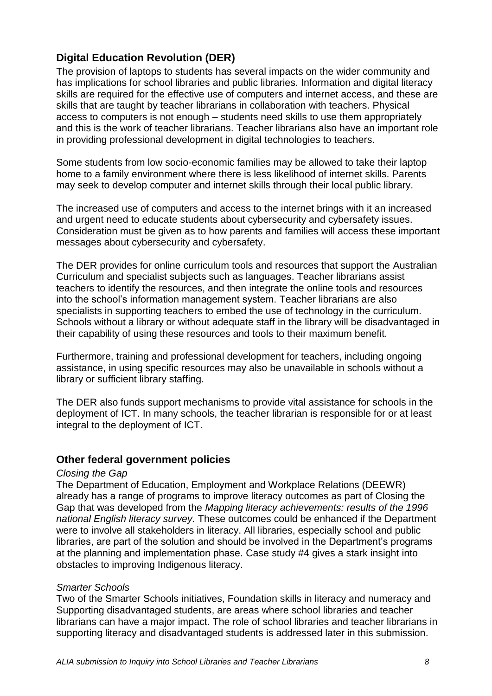# **Digital Education Revolution (DER)**

<span id="page-7-0"></span>The provision of laptops to students has several impacts on the wider community and has implications for school libraries and public libraries. Information and digital literacy skills are required for the effective use of computers and internet access, and these are skills that are taught by teacher librarians in collaboration with teachers. Physical access to computers is not enough – students need skills to use them appropriately and this is the work of teacher librarians. Teacher librarians also have an important role in providing professional development in digital technologies to teachers.

Some students from low socio-economic families may be allowed to take their laptop home to a family environment where there is less likelihood of internet skills. Parents may seek to develop computer and internet skills through their local public library.

The increased use of computers and access to the internet brings with it an increased and urgent need to educate students about cybersecurity and cybersafety issues. Consideration must be given as to how parents and families will access these important messages about cybersecurity and cybersafety.

The DER provides for online curriculum tools and resources that support the Australian Curriculum and specialist subjects such as languages. Teacher librarians assist teachers to identify the resources, and then integrate the online tools and resources into the school"s information management system. Teacher librarians are also specialists in supporting teachers to embed the use of technology in the curriculum. Schools without a library or without adequate staff in the library will be disadvantaged in their capability of using these resources and tools to their maximum benefit.

Furthermore, training and professional development for teachers, including ongoing assistance, in using specific resources may also be unavailable in schools without a library or sufficient library staffing.

The DER also funds support mechanisms to provide vital assistance for schools in the deployment of ICT. In many schools, the teacher librarian is responsible for or at least integral to the deployment of ICT.

#### <span id="page-7-1"></span>**Other federal government policies**

#### *Closing the Gap*

The Department of Education, Employment and Workplace Relations (DEEWR) already has a range of programs to improve literacy outcomes as part of Closing the Gap that was developed from the *Mapping literacy achievements: results of the 1996 national English literacy survey.* These outcomes could be enhanced if the Department were to involve all stakeholders in literacy. All libraries, especially school and public libraries, are part of the solution and should be involved in the Department's programs at the planning and implementation phase. Case study #4 gives a stark insight into obstacles to improving Indigenous literacy.

#### *Smarter Schools*

Two of the Smarter Schools initiatives, Foundation skills in literacy and numeracy and Supporting disadvantaged students, are areas where school libraries and teacher librarians can have a major impact. The role of school libraries and teacher librarians in supporting literacy and disadvantaged students is addressed later in this submission.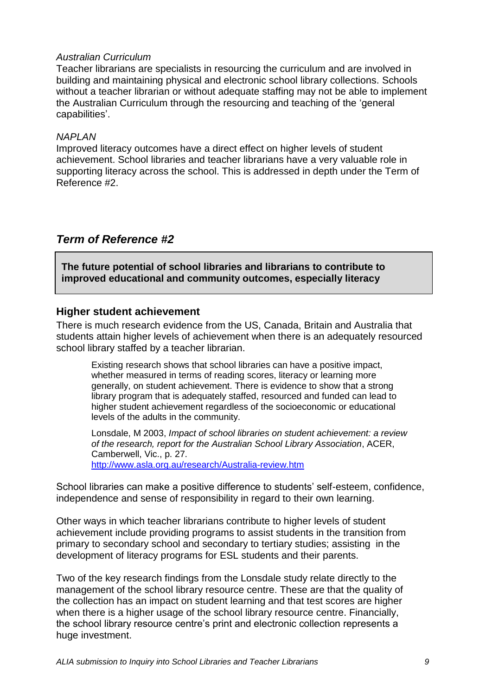#### *Australian Curriculum*

Teacher librarians are specialists in resourcing the curriculum and are involved in building and maintaining physical and electronic school library collections. Schools without a teacher librarian or without adequate staffing may not be able to implement the Australian Curriculum through the resourcing and teaching of the "general capabilities'.

#### *NAPLAN*

Improved literacy outcomes have a direct effect on higher levels of student achievement. School libraries and teacher librarians have a very valuable role in supporting literacy across the school. This is addressed in depth under the Term of Reference #2.

## <span id="page-8-0"></span>*Term of Reference #2*

**The future potential of school libraries and librarians to contribute to improved educational and community outcomes, especially literacy**

#### <span id="page-8-1"></span>**Higher student achievement**

There is much research evidence from the US, Canada, Britain and Australia that students attain higher levels of achievement when there is an adequately resourced school library staffed by a teacher librarian.

Existing research shows that school libraries can have a positive impact, whether measured in terms of reading scores, literacy or learning more generally, on student achievement. There is evidence to show that a strong library program that is adequately staffed, resourced and funded can lead to higher student achievement regardless of the socioeconomic or educational levels of the adults in the community.

Lonsdale, M 2003, *Impact of school libraries on student achievement: a review of the research, report for the Australian School Library Association*, ACER, Camberwell, Vic., p. 27. <http://www.asla.org.au/research/Australia-review.htm>

School libraries can make a positive difference to students' self-esteem, confidence, independence and sense of responsibility in regard to their own learning.

Other ways in which teacher librarians contribute to higher levels of student achievement include providing programs to assist students in the transition from primary to secondary school and secondary to tertiary studies; assisting in the development of literacy programs for ESL students and their parents.

Two of the key research findings from the Lonsdale study relate directly to the management of the school library resource centre. These are that the quality of the collection has an impact on student learning and that test scores are higher when there is a higher usage of the school library resource centre. Financially, the school library resource centre"s print and electronic collection represents a huge investment.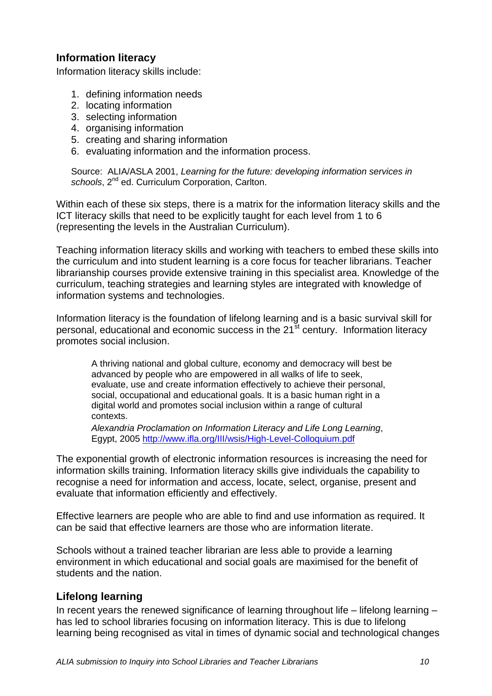## **Information literacy**

<span id="page-9-0"></span>Information literacy skills include:

- 1. defining information needs
- 2. locating information
- 3. selecting information
- 4. organising information
- 5. creating and sharing information
- 6. evaluating information and the information process.

Source: ALIA/ASLA 2001, *Learning for the future: developing information services in*  schools, 2<sup>nd</sup> ed. Curriculum Corporation, Carlton.

Within each of these six steps, there is a matrix for the information literacy skills and the ICT literacy skills that need to be explicitly taught for each level from 1 to 6 (representing the levels in the Australian Curriculum).

Teaching information literacy skills and working with teachers to embed these skills into the curriculum and into student learning is a core focus for teacher librarians. Teacher librarianship courses provide extensive training in this specialist area. Knowledge of the curriculum, teaching strategies and learning styles are integrated with knowledge of information systems and technologies.

Information literacy is the foundation of lifelong learning and is a basic survival skill for personal, educational and economic success in the 21<sup>st</sup> century. Information literacy promotes social inclusion.

A thriving national and global culture, economy and democracy will best be advanced by people who are empowered in all walks of life to seek, evaluate, use and create information effectively to achieve their personal, social, occupational and educational goals. It is a basic human right in a digital world and promotes social inclusion within a range of cultural contexts.

*Alexandria Proclamation on Information Literacy and Life Long Learning*, Egypt, 2005<http://www.ifla.org/III/wsis/High-Level-Colloquium.pdf>

The exponential growth of electronic information resources is increasing the need for information skills training. Information literacy skills give individuals the capability to recognise a need for information and access, locate, select, organise, present and evaluate that information efficiently and effectively.

Effective learners are people who are able to find and use information as required. It can be said that effective learners are those who are information literate.

Schools without a trained teacher librarian are less able to provide a learning environment in which educational and social goals are maximised for the benefit of students and the nation.

## <span id="page-9-1"></span>**Lifelong learning**

In recent years the renewed significance of learning throughout life – lifelong learning – has led to school libraries focusing on information literacy. This is due to lifelong learning being recognised as vital in times of dynamic social and technological changes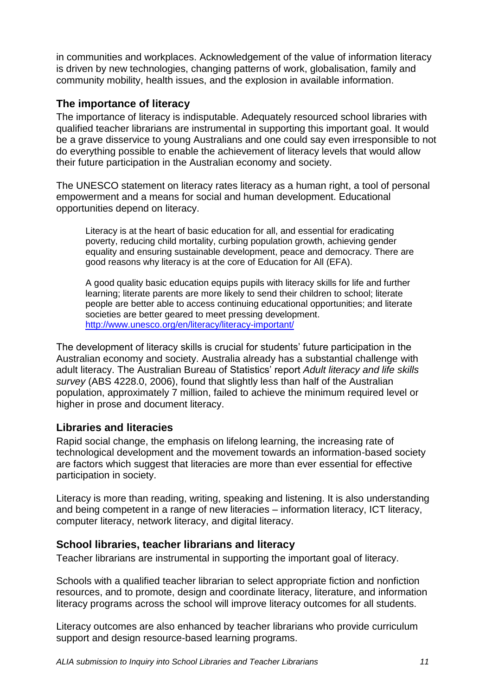in communities and workplaces. Acknowledgement of the value of information literacy is driven by new technologies, changing patterns of work, globalisation, family and community mobility, health issues, and the explosion in available information.

#### <span id="page-10-0"></span>**The importance of literacy**

The importance of literacy is indisputable. Adequately resourced school libraries with qualified teacher librarians are instrumental in supporting this important goal. It would be a grave disservice to young Australians and one could say even irresponsible to not do everything possible to enable the achievement of literacy levels that would allow their future participation in the Australian economy and society.

The UNESCO statement on literacy rates literacy as a human right, a tool of personal empowerment and a means for social and human development. Educational opportunities depend on literacy.

Literacy is at the heart of basic education for all, and essential for eradicating poverty, reducing child mortality, curbing population growth, achieving gender equality and ensuring sustainable development, peace and democracy. There are good reasons why literacy is at the core of Education for All (EFA).

A good quality basic education equips pupils with literacy skills for life and further learning; literate parents are more likely to send their children to school; literate people are better able to access continuing educational opportunities; and literate societies are better geared to meet pressing development. <http://www.unesco.org/en/literacy/literacy-important/>

The development of literacy skills is crucial for students" future participation in the Australian economy and society. Australia already has a substantial challenge with adult literacy. The Australian Bureau of Statistics" report *Adult literacy and life skills survey* (ABS 4228.0, 2006), found that slightly less than half of the Australian population, approximately 7 million, failed to achieve the minimum required level or higher in prose and document literacy.

## <span id="page-10-1"></span>**Libraries and literacies**

Rapid social change, the emphasis on lifelong learning, the increasing rate of technological development and the movement towards an information-based society are factors which suggest that literacies are more than ever essential for effective participation in society.

Literacy is more than reading, writing, speaking and listening. It is also understanding and being competent in a range of new literacies – information literacy, ICT literacy, computer literacy, network literacy, and digital literacy.

## <span id="page-10-2"></span>**School libraries, teacher librarians and literacy**

Teacher librarians are instrumental in supporting the important goal of literacy.

Schools with a qualified teacher librarian to select appropriate fiction and nonfiction resources, and to promote, design and coordinate literacy, literature, and information literacy programs across the school will improve literacy outcomes for all students.

Literacy outcomes are also enhanced by teacher librarians who provide curriculum support and design resource-based learning programs.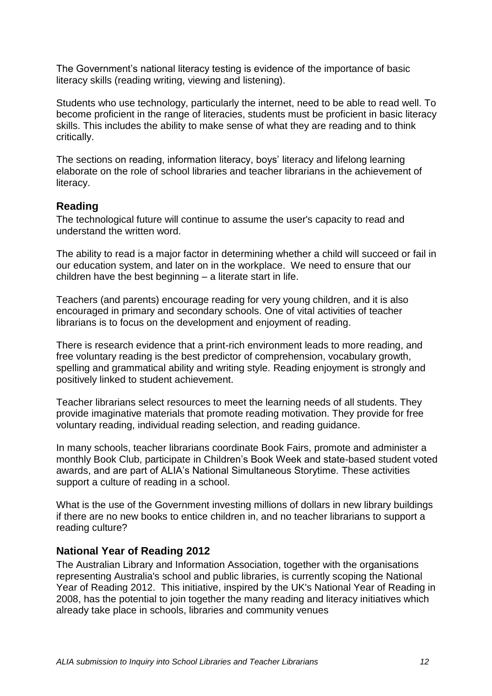The Government"s national literacy testing is evidence of the importance of basic literacy skills (reading writing, viewing and listening).

Students who use technology, particularly the internet, need to be able to read well. To become proficient in the range of literacies, students must be proficient in basic literacy skills. This includes the ability to make sense of what they are reading and to think critically.

The sections on reading, information literacy, boys" literacy and lifelong learning elaborate on the role of school libraries and teacher librarians in the achievement of literacy.

## <span id="page-11-0"></span>**Reading**

The technological future will continue to assume the user's capacity to read and understand the written word.

The ability to read is a major factor in determining whether a child will succeed or fail in our education system, and later on in the workplace. We need to ensure that our children have the best beginning – a literate start in life.

Teachers (and parents) encourage reading for very young children, and it is also encouraged in primary and secondary schools. One of vital activities of teacher librarians is to focus on the development and enjoyment of reading.

There is research evidence that a print-rich environment leads to more reading, and free voluntary reading is the best predictor of comprehension, vocabulary growth, spelling and grammatical ability and writing style. Reading enjoyment is strongly and positively linked to student achievement.

Teacher librarians select resources to meet the learning needs of all students. They provide imaginative materials that promote reading motivation. They provide for free voluntary reading, individual reading selection, and reading guidance.

In many schools, teacher librarians coordinate Book Fairs, promote and administer a monthly Book Club, participate in Children"s Book Week and state-based student voted awards, and are part of ALIA"s National Simultaneous Storytime. These activities support a culture of reading in a school.

What is the use of the Government investing millions of dollars in new library buildings if there are no new books to entice children in, and no teacher librarians to support a reading culture?

## <span id="page-11-1"></span>**National Year of Reading 2012**

The Australian Library and Information Association, together with the organisations representing Australia's school and public libraries, is currently scoping the National Year of Reading 2012. This initiative, inspired by the UK's National Year of Reading in 2008, has the potential to join together the many reading and literacy initiatives which already take place in schools, libraries and community venues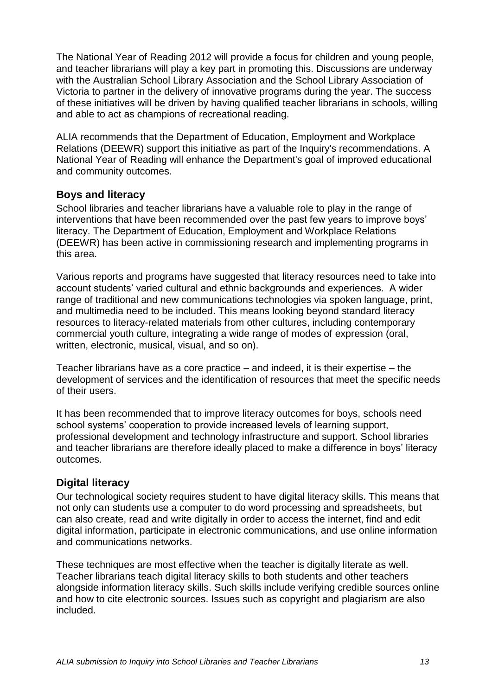The National Year of Reading 2012 will provide a focus for children and young people, and teacher librarians will play a key part in promoting this. Discussions are underway with the Australian School Library Association and the School Library Association of Victoria to partner in the delivery of innovative programs during the year. The success of these initiatives will be driven by having qualified teacher librarians in schools, willing and able to act as champions of recreational reading.

ALIA recommends that the Department of Education, Employment and Workplace Relations (DEEWR) support this initiative as part of the Inquiry's recommendations. A National Year of Reading will enhance the Department's goal of improved educational and community outcomes.

## <span id="page-12-0"></span>**Boys and literacy**

School libraries and teacher librarians have a valuable role to play in the range of interventions that have been recommended over the past few years to improve boys" literacy. The Department of Education, Employment and Workplace Relations (DEEWR) has been active in commissioning research and implementing programs in this area.

Various reports and programs have suggested that literacy resources need to take into account students" varied cultural and ethnic backgrounds and experiences. A wider range of traditional and new communications technologies via spoken language, print, and multimedia need to be included. This means looking beyond standard literacy resources to literacy-related materials from other cultures, including contemporary commercial youth culture, integrating a wide range of modes of expression (oral, written, electronic, musical, visual, and so on).

Teacher librarians have as a core practice – and indeed, it is their expertise – the development of services and the identification of resources that meet the specific needs of their users.

It has been recommended that to improve literacy outcomes for boys, schools need school systems' cooperation to provide increased levels of learning support, professional development and technology infrastructure and support. School libraries and teacher librarians are therefore ideally placed to make a difference in boys" literacy outcomes.

## <span id="page-12-1"></span>**Digital literacy**

Our technological society requires student to have digital literacy skills. This means that not only can students use a computer to do word processing and spreadsheets, but can also create, read and write digitally in order to access the internet, find and edit digital information, participate in electronic communications, and use online information and communications networks.

These techniques are most effective when the teacher is digitally literate as well. Teacher librarians teach digital literacy skills to both students and other teachers alongside information literacy skills. Such skills include verifying credible sources online and how to cite electronic sources. Issues such as copyright and plagiarism are also included.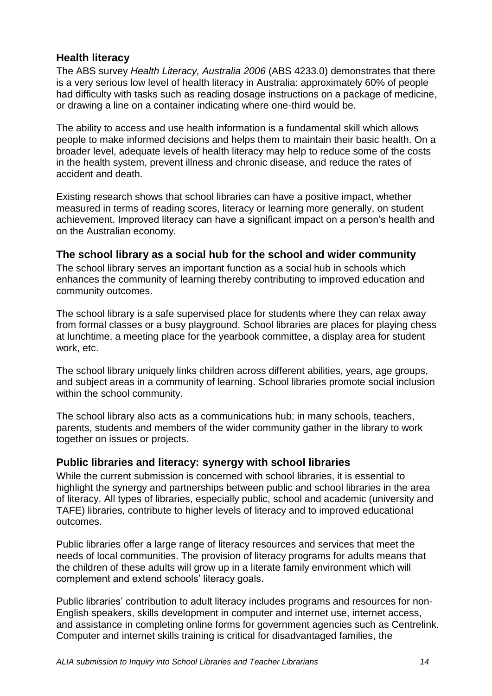## **Health literacy**

<span id="page-13-0"></span>The ABS survey *Health Literacy, Australia 2006* (ABS 4233.0) demonstrates that there is a very serious low level of health literacy in Australia: approximately 60% of people had difficulty with tasks such as reading dosage instructions on a package of medicine, or drawing a line on a container indicating where one-third would be.

The ability to access and use health information is a fundamental skill which allows people to make informed decisions and helps them to maintain their basic health. On a broader level, adequate levels of health literacy may help to reduce some of the costs in the health system, prevent illness and chronic disease, and reduce the rates of accident and death.

Existing research shows that school libraries can have a positive impact, whether measured in terms of reading scores, literacy or learning more generally, on student achievement. Improved literacy can have a significant impact on a person"s health and on the Australian economy.

#### <span id="page-13-1"></span>**The school library as a social hub for the school and wider community**

The school library serves an important function as a social hub in schools which enhances the community of learning thereby contributing to improved education and community outcomes.

The school library is a safe supervised place for students where they can relax away from formal classes or a busy playground. School libraries are places for playing chess at lunchtime, a meeting place for the yearbook committee, a display area for student work, etc.

The school library uniquely links children across different abilities, years, age groups, and subject areas in a community of learning. School libraries promote social inclusion within the school community.

The school library also acts as a communications hub; in many schools, teachers, parents, students and members of the wider community gather in the library to work together on issues or projects.

## <span id="page-13-2"></span>**Public libraries and literacy: synergy with school libraries**

While the current submission is concerned with school libraries, it is essential to highlight the synergy and partnerships between public and school libraries in the area of literacy. All types of libraries, especially public, school and academic (university and TAFE) libraries, contribute to higher levels of literacy and to improved educational outcomes.

Public libraries offer a large range of literacy resources and services that meet the needs of local communities. The provision of literacy programs for adults means that the children of these adults will grow up in a literate family environment which will complement and extend schools" literacy goals.

Public libraries' contribution to adult literacy includes programs and resources for non-English speakers, skills development in computer and internet use, internet access, and assistance in completing online forms for government agencies such as Centrelink. Computer and internet skills training is critical for disadvantaged families, the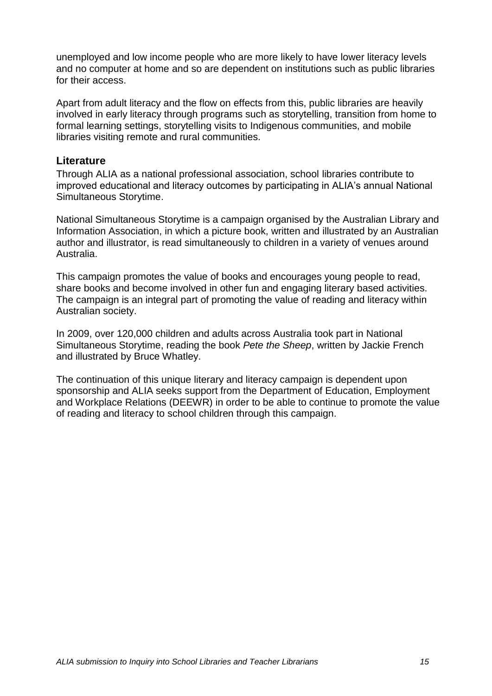unemployed and low income people who are more likely to have lower literacy levels and no computer at home and so are dependent on institutions such as public libraries for their access.

Apart from adult literacy and the flow on effects from this, public libraries are heavily involved in early literacy through programs such as storytelling, transition from home to formal learning settings, storytelling visits to Indigenous communities, and mobile libraries visiting remote and rural communities.

#### <span id="page-14-0"></span>**Literature**

Through ALIA as a national professional association, school libraries contribute to improved educational and literacy outcomes by participating in ALIA"s annual National Simultaneous Storytime.

National Simultaneous Storytime is a campaign organised by the Australian Library and Information Association, in which a picture book, written and illustrated by an Australian author and illustrator, is read simultaneously to children in a variety of venues around Australia.

This campaign promotes the value of books and encourages young people to read, share books and become involved in other fun and engaging literary based activities. The campaign is an integral part of promoting the value of reading and literacy within Australian society.

In 2009, over 120,000 children and adults across Australia took part in National Simultaneous Storytime, reading the book *Pete the Sheep*, written by Jackie French and illustrated by Bruce Whatley.

The continuation of this unique literary and literacy campaign is dependent upon sponsorship and ALIA seeks support from the Department of Education, Employment and Workplace Relations (DEEWR) in order to be able to continue to promote the value of reading and literacy to school children through this campaign.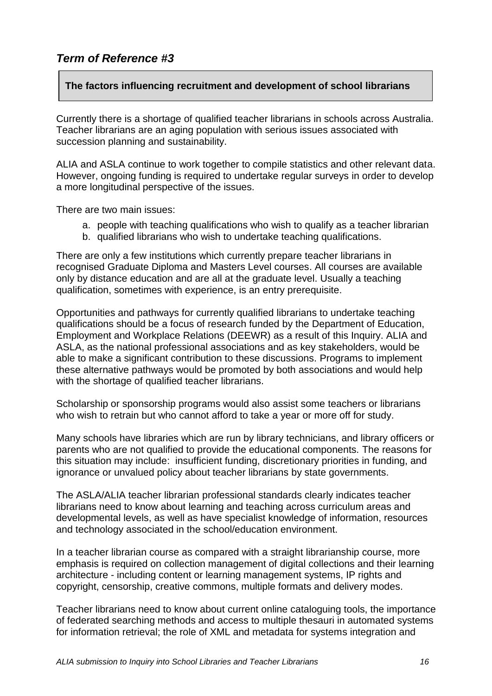## <span id="page-15-0"></span>*Term of Reference #3*

## **The factors influencing recruitment and development of school librarians**

Currently there is a shortage of qualified teacher librarians in schools across Australia. Teacher librarians are an aging population with serious issues associated with succession planning and sustainability.

ALIA and ASLA continue to work together to compile statistics and other relevant data. However, ongoing funding is required to undertake regular surveys in order to develop a more longitudinal perspective of the issues.

There are two main issues:

- a. people with teaching qualifications who wish to qualify as a teacher librarian
- b. qualified librarians who wish to undertake teaching qualifications.

There are only a few institutions which currently prepare teacher librarians in recognised Graduate Diploma and Masters Level courses. All courses are available only by distance education and are all at the graduate level. Usually a teaching qualification, sometimes with experience, is an entry prerequisite.

Opportunities and pathways for currently qualified librarians to undertake teaching qualifications should be a focus of research funded by the Department of Education, Employment and Workplace Relations (DEEWR) as a result of this Inquiry. ALIA and ASLA, as the national professional associations and as key stakeholders, would be able to make a significant contribution to these discussions. Programs to implement these alternative pathways would be promoted by both associations and would help with the shortage of qualified teacher librarians.

Scholarship or sponsorship programs would also assist some teachers or librarians who wish to retrain but who cannot afford to take a year or more off for study.

Many schools have libraries which are run by library technicians, and library officers or parents who are not qualified to provide the educational components. The reasons for this situation may include: insufficient funding, discretionary priorities in funding, and ignorance or unvalued policy about teacher librarians by state governments.

The ASLA/ALIA teacher librarian professional standards clearly indicates teacher librarians need to know about learning and teaching across curriculum areas and developmental levels, as well as have specialist knowledge of information, resources and technology associated in the school/education environment.

In a teacher librarian course as compared with a straight librarianship course, more emphasis is required on collection management of digital collections and their learning architecture - including content or learning management systems, IP rights and copyright, censorship, creative commons, multiple formats and delivery modes.

Teacher librarians need to know about current online cataloguing tools, the importance of federated searching methods and access to multiple thesauri in automated systems for information retrieval; the role of XML and metadata for systems integration and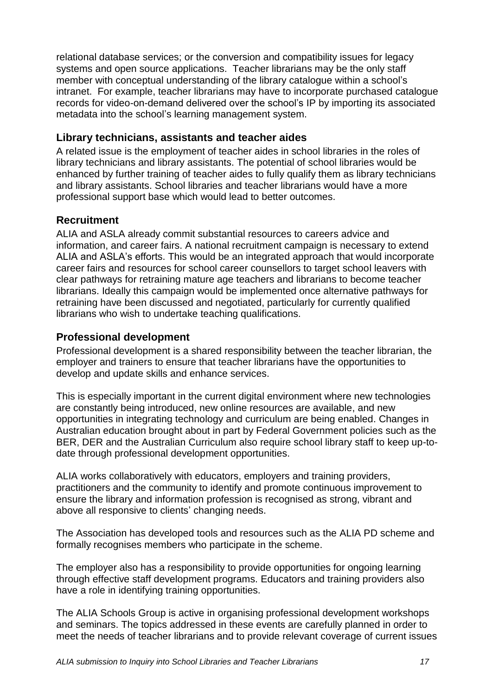relational database services; or the conversion and compatibility issues for legacy systems and open source applications. Teacher librarians may be the only staff member with conceptual understanding of the library catalogue within a school"s intranet. For example, teacher librarians may have to incorporate purchased catalogue records for video-on-demand delivered over the school"s IP by importing its associated metadata into the school"s learning management system.

## <span id="page-16-0"></span>**Library technicians, assistants and teacher aides**

A related issue is the employment of teacher aides in school libraries in the roles of library technicians and library assistants. The potential of school libraries would be enhanced by further training of teacher aides to fully qualify them as library technicians and library assistants. School libraries and teacher librarians would have a more professional support base which would lead to better outcomes.

## <span id="page-16-1"></span>**Recruitment**

ALIA and ASLA already commit substantial resources to careers advice and information, and career fairs. A national recruitment campaign is necessary to extend ALIA and ASLA"s efforts. This would be an integrated approach that would incorporate career fairs and resources for school career counsellors to target school leavers with clear pathways for retraining mature age teachers and librarians to become teacher librarians. Ideally this campaign would be implemented once alternative pathways for retraining have been discussed and negotiated, particularly for currently qualified librarians who wish to undertake teaching qualifications.

## <span id="page-16-2"></span>**Professional development**

Professional development is a shared responsibility between the teacher librarian, the employer and trainers to ensure that teacher librarians have the opportunities to develop and update skills and enhance services.

This is especially important in the current digital environment where new technologies are constantly being introduced, new online resources are available, and new opportunities in integrating technology and curriculum are being enabled. Changes in Australian education brought about in part by Federal Government policies such as the BER, DER and the Australian Curriculum also require school library staff to keep up-todate through professional development opportunities.

ALIA works collaboratively with educators, employers and training providers, practitioners and the community to identify and promote continuous improvement to ensure the library and information profession is recognised as strong, vibrant and above all responsive to clients' changing needs.

The Association has developed tools and resources such as the [ALIA PD scheme](http://www.alia.org.au/education/pd/scheme/) and formally recognises members who participate in the scheme.

The employer also has a responsibility to provide opportunities for ongoing learning through effective staff development programs. Educators and training providers also have a role in identifying training opportunities.

The ALIA Schools Group is active in organising professional development workshops and seminars. The topics addressed in these events are carefully planned in order to meet the needs of teacher librarians and to provide relevant coverage of current issues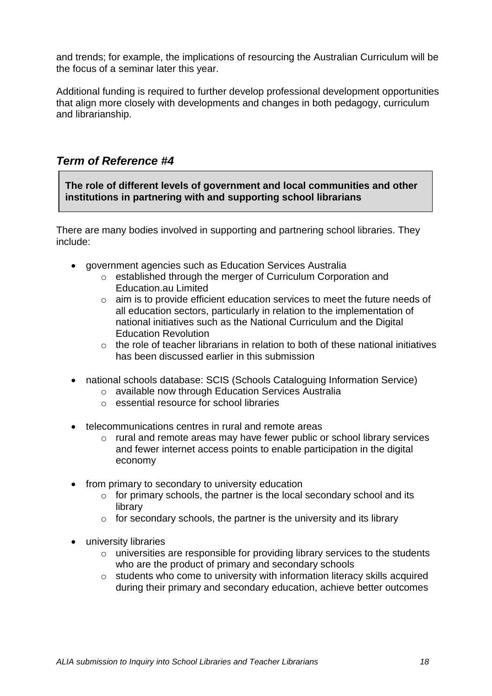and trends; for example, the implications of resourcing the Australian Curriculum will be the focus of a seminar later this year.

Additional funding is required to further develop professional development opportunities that align more closely with developments and changes in both pedagogy, curriculum and librarianship.

# <span id="page-17-0"></span>*Term of Reference #4*

**The role of different levels of government and local communities and other institutions in partnering with and supporting school librarians**

There are many bodies involved in supporting and partnering school libraries. They include:

- government agencies such as Education Services Australia
	- o established through the merger of Curriculum Corporation and Education.au Limited
	- o aim is to provide efficient education services to meet the future needs of all education sectors, particularly in relation to the implementation of national initiatives such as the National Curriculum and the Digital Education Revolution
	- $\circ$  the role of teacher librarians in relation to both of these national initiatives has been discussed earlier in this submission
- national schools database: SCIS (Schools Cataloguing Information Service)
	- o available now through Education Services Australia
	- o essential resource for school libraries
- telecommunications centres in rural and remote areas
	- o rural and remote areas may have fewer public or school library services and fewer internet access points to enable participation in the digital economy
- from primary to secondary to university education
	- $\circ$  for primary schools, the partner is the local secondary school and its library
	- $\circ$  for secondary schools, the partner is the university and its library
- university libraries
	- o universities are responsible for providing library services to the students who are the product of primary and secondary schools
	- o students who come to university with information literacy skills acquired during their primary and secondary education, achieve better outcomes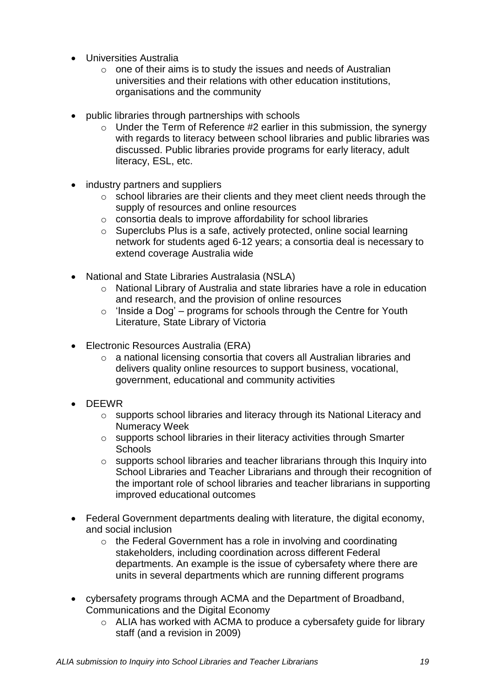- Universities Australia
	- $\circ$  one of their aims is to study the issues and needs of Australian universities and their relations with other education institutions, organisations and the community
- public libraries through partnerships with schools
	- $\circ$  Under the Term of Reference #2 earlier in this submission, the synergy with regards to literacy between school libraries and public libraries was discussed. Public libraries provide programs for early literacy, adult literacy, ESL, etc.
- industry partners and suppliers
	- o school libraries are their clients and they meet client needs through the supply of resources and online resources
	- o consortia deals to improve affordability for school libraries
	- o Superclubs Plus is a safe, actively protected, online social learning network for students aged 6-12 years; a consortia deal is necessary to extend coverage Australia wide
- National and State Libraries Australasia (NSLA)
	- o National Library of Australia and state libraries have a role in education and research, and the provision of online resources
	- $\circ$  'Inside a Dog' programs for schools through the Centre for Youth Literature, State Library of Victoria
- Electronic Resources Australia (ERA)
	- o a national licensing consortia that covers all Australian libraries and delivers quality online resources to support business, vocational, government, educational and community activities
- DEEWR
	- o supports school libraries and literacy through its National Literacy and Numeracy Week
	- o supports school libraries in their literacy activities through Smarter **Schools**
	- o supports school libraries and teacher librarians through this Inquiry into School Libraries and Teacher Librarians and through their recognition of the important role of school libraries and teacher librarians in supporting improved educational outcomes
- Federal Government departments dealing with literature, the digital economy, and social inclusion
	- o the Federal Government has a role in involving and coordinating stakeholders, including coordination across different Federal departments. An example is the issue of cybersafety where there are units in several departments which are running different programs
- cybersafety programs through ACMA and the Department of Broadband, Communications and the Digital Economy
	- o ALIA has worked with ACMA to produce a cybersafety guide for library staff (and a revision in 2009)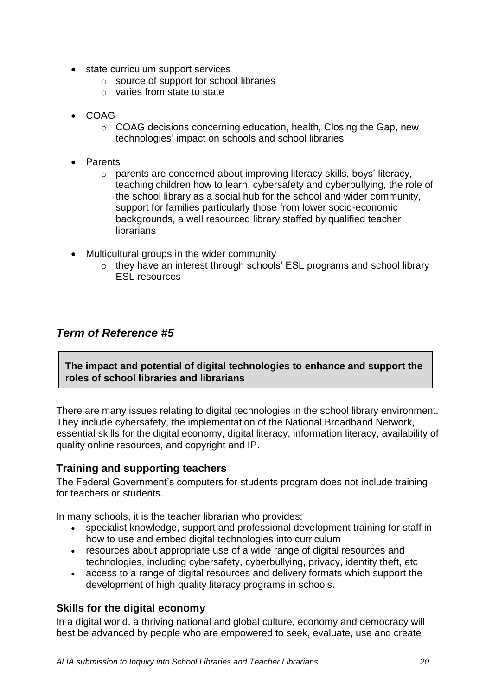- state curriculum support services
	- o source of support for school libraries
	- o varies from state to state
- COAG
	- $\circ$  COAG decisions concerning education, health, Closing the Gap, new technologies' impact on schools and school libraries
- Parents
	- o parents are concerned about improving literacy skills, boys" literacy, teaching children how to learn, cybersafety and cyberbullying, the role of the school library as a social hub for the school and wider community, support for families particularly those from lower socio-economic backgrounds, a well resourced library staffed by qualified teacher **librarians**
- Multicultural groups in the wider community
	- o they have an interest through schools" ESL programs and school library ESL resources

## <span id="page-19-0"></span>*Term of Reference #5*

**The impact and potential of digital technologies to enhance and support the roles of school libraries and librarians**

There are many issues relating to digital technologies in the school library environment. They include cybersafety, the implementation of the National Broadband Network, essential skills for the digital economy, digital literacy, information literacy, availability of quality online resources, and copyright and IP.

## <span id="page-19-1"></span>**Training and supporting teachers**

The Federal Government"s computers for students program does not include training for teachers or students.

In many schools, it is the teacher librarian who provides:

- specialist knowledge, support and professional development training for staff in how to use and embed digital technologies into curriculum
- resources about appropriate use of a wide range of digital resources and technologies, including cybersafety, cyberbullying, privacy, identity theft, etc
- access to a range of digital resources and delivery formats which support the development of high quality literacy programs in schools.

## <span id="page-19-2"></span>**Skills for the digital economy**

In a digital world, a thriving national and global culture, economy and democracy will best be advanced by people who are empowered to seek, evaluate, use and create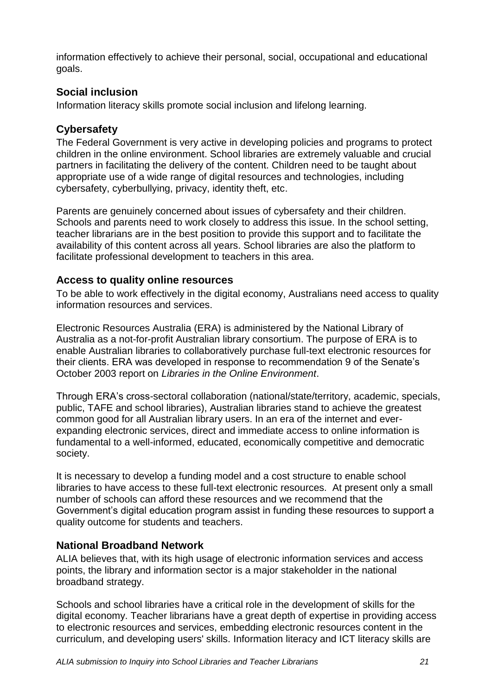information effectively to achieve their personal, social, occupational and educational goals.

## <span id="page-20-0"></span>**Social inclusion**

<span id="page-20-1"></span>Information literacy skills promote social inclusion and lifelong learning.

# **Cybersafety**

The Federal Government is very active in developing policies and programs to protect children in the online environment. School libraries are extremely valuable and crucial partners in facilitating the delivery of the content. Children need to be taught about appropriate use of a wide range of digital resources and technologies, including cybersafety, cyberbullying, privacy, identity theft, etc.

Parents are genuinely concerned about issues of cybersafety and their children. Schools and parents need to work closely to address this issue. In the school setting, teacher librarians are in the best position to provide this support and to facilitate the availability of this content across all years. School libraries are also the platform to facilitate professional development to teachers in this area.

## <span id="page-20-2"></span>**Access to quality online resources**

To be able to work effectively in the digital economy, Australians need access to quality information resources and services.

Electronic Resources Australia (ERA) is administered by the National Library of Australia as a not-for-profit Australian library consortium. The purpose of ERA is to enable Australian libraries to collaboratively purchase full-text electronic resources for their clients. ERA was developed in response to recommendation 9 of the Senate"s October 2003 report on *Libraries in the Online Environment*.

Through ERA"s cross-sectoral collaboration (national/state/territory, academic, specials, public, TAFE and school libraries), Australian libraries stand to achieve the greatest common good for all Australian library users. In an era of the internet and everexpanding electronic services, direct and immediate access to online information is fundamental to a well-informed, educated, economically competitive and democratic society.

It is necessary to develop a funding model and a cost structure to enable school libraries to have access to these full-text electronic resources. At present only a small number of schools can afford these resources and we recommend that the Government"s digital education program assist in funding these resources to support a quality outcome for students and teachers.

## <span id="page-20-3"></span>**National Broadband Network**

ALIA believes that, with its high usage of electronic information services and access points, the library and information sector is a major stakeholder in the national broadband strategy.

Schools and school libraries have a critical role in the development of skills for the digital economy. Teacher librarians have a great depth of expertise in providing access to electronic resources and services, embedding electronic resources content in the curriculum, and developing users' skills. Information literacy and ICT literacy skills are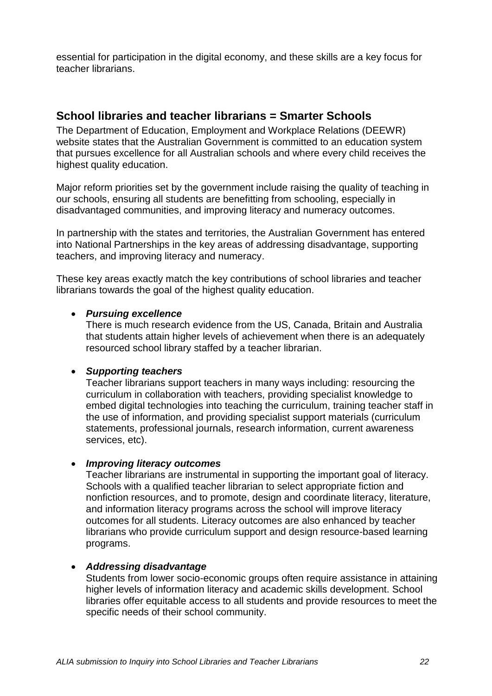essential for participation in the digital economy, and these skills are a key focus for teacher librarians.

## <span id="page-21-0"></span>**School libraries and teacher librarians = Smarter Schools**

The Department of Education, Employment and Workplace Relations (DEEWR) website states that the Australian Government is committed to an education system that pursues excellence for all Australian schools and where every child receives the highest quality education.

Major reform priorities set by the government include raising the quality of teaching in our schools, ensuring all students are benefitting from schooling, especially in disadvantaged communities, and improving literacy and numeracy outcomes.

In partnership with the states and territories, the Australian Government has entered into National Partnerships in the key areas of addressing disadvantage, supporting teachers, and improving literacy and numeracy.

These key areas exactly match the key contributions of school libraries and teacher librarians towards the goal of the highest quality education.

#### *Pursuing excellence*

There is much research evidence from the US, Canada, Britain and Australia that students attain higher levels of achievement when there is an adequately resourced school library staffed by a teacher librarian.

#### *Supporting teachers*

Teacher librarians support teachers in many ways including: resourcing the curriculum in collaboration with teachers, providing specialist knowledge to embed digital technologies into teaching the curriculum, training teacher staff in the use of information, and providing specialist support materials (curriculum statements, professional journals, research information, current awareness services, etc).

#### *Improving literacy outcomes*

Teacher librarians are instrumental in supporting the important goal of literacy. Schools with a qualified teacher librarian to select appropriate fiction and nonfiction resources, and to promote, design and coordinate literacy, literature, and information literacy programs across the school will improve literacy outcomes for all students. Literacy outcomes are also enhanced by teacher librarians who provide curriculum support and design resource-based learning programs.

#### *Addressing disadvantage*

Students from lower socio-economic groups often require assistance in attaining higher levels of information literacy and academic skills development. School libraries offer equitable access to all students and provide resources to meet the specific needs of their school community.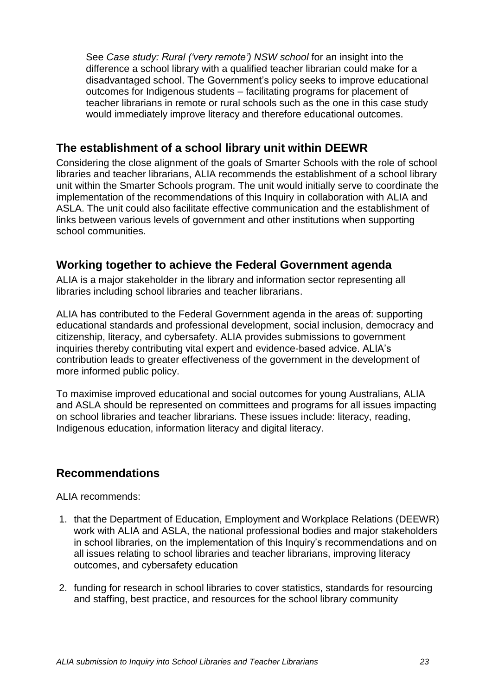See *Case study: Rural ('very remote') NSW school* for an insight into the difference a school library with a qualified teacher librarian could make for a disadvantaged school. The Government"s policy seeks to improve educational outcomes for Indigenous students – facilitating programs for placement of teacher librarians in remote or rural schools such as the one in this case study would immediately improve literacy and therefore educational outcomes.

# <span id="page-22-0"></span>**The establishment of a school library unit within DEEWR**

Considering the close alignment of the goals of Smarter Schools with the role of school libraries and teacher librarians, ALIA recommends the establishment of a school library unit within the Smarter Schools program. The unit would initially serve to coordinate the implementation of the recommendations of this Inquiry in collaboration with ALIA and ASLA. The unit could also facilitate effective communication and the establishment of links between various levels of government and other institutions when supporting school communities.

# <span id="page-22-1"></span>**Working together to achieve the Federal Government agenda**

ALIA is a major stakeholder in the library and information sector representing all libraries including school libraries and teacher librarians.

ALIA has contributed to the Federal Government agenda in the areas of: supporting educational standards and professional development, social inclusion, democracy and citizenship, literacy, and cybersafety. ALIA provides submissions to government inquiries thereby contributing vital expert and evidence-based advice. ALIA"s contribution leads to greater effectiveness of the government in the development of more informed public policy.

To maximise improved educational and social outcomes for young Australians, ALIA and ASLA should be represented on committees and programs for all issues impacting on school libraries and teacher librarians. These issues include: literacy, reading, Indigenous education, information literacy and digital literacy.

# <span id="page-22-2"></span>**Recommendations**

ALIA recommends:

- 1. that the Department of Education, Employment and Workplace Relations (DEEWR) work with ALIA and ASLA, the national professional bodies and major stakeholders in school libraries, on the implementation of this Inquiry"s recommendations and on all issues relating to school libraries and teacher librarians, improving literacy outcomes, and cybersafety education
- 2. funding for research in school libraries to cover statistics, standards for resourcing and staffing, best practice, and resources for the school library community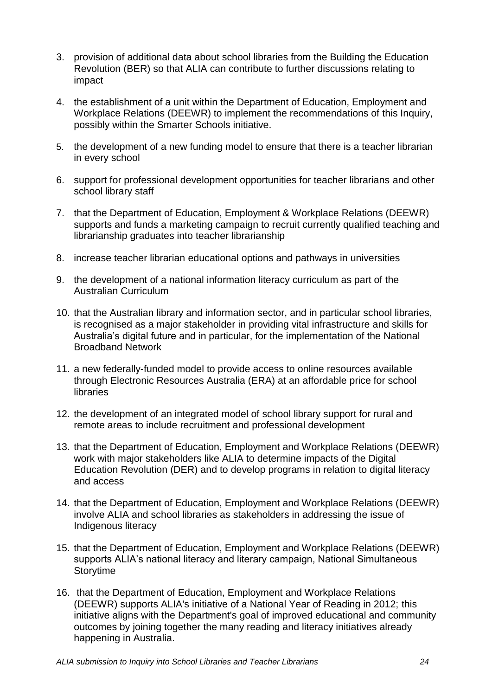- 3. provision of additional data about school libraries from the Building the Education Revolution (BER) so that ALIA can contribute to further discussions relating to impact
- 4. the establishment of a unit within the Department of Education, Employment and Workplace Relations (DEEWR) to implement the recommendations of this Inquiry, possibly within the Smarter Schools initiative.
- 5. the development of a new funding model to ensure that there is a teacher librarian in every school
- 6. support for professional development opportunities for teacher librarians and other school library staff
- 7. that the Department of Education, Employment & Workplace Relations (DEEWR) supports and funds a marketing campaign to recruit currently qualified teaching and librarianship graduates into teacher librarianship
- 8. increase teacher librarian educational options and pathways in universities
- 9. the development of a national information literacy curriculum as part of the Australian Curriculum
- 10. that the Australian library and information sector, and in particular school libraries, is recognised as a major stakeholder in providing vital infrastructure and skills for Australia"s digital future and in particular, for the implementation of the National Broadband Network
- 11. a new federally-funded model to provide access to online resources available through Electronic Resources Australia (ERA) at an affordable price for school libraries
- 12. the development of an integrated model of school library support for rural and remote areas to include recruitment and professional development
- 13. that the Department of Education, Employment and Workplace Relations (DEEWR) work with major stakeholders like ALIA to determine impacts of the Digital Education Revolution (DER) and to develop programs in relation to digital literacy and access
- 14. that the Department of Education, Employment and Workplace Relations (DEEWR) involve ALIA and school libraries as stakeholders in addressing the issue of Indigenous literacy
- 15. that the Department of Education, Employment and Workplace Relations (DEEWR) supports ALIA's national literacy and literary campaign, National Simultaneous Storytime
- 16. that the Department of Education, Employment and Workplace Relations (DEEWR) supports ALIA's initiative of a National Year of Reading in 2012; this initiative aligns with the Department's goal of improved educational and community outcomes by joining together the many reading and literacy initiatives already happening in Australia.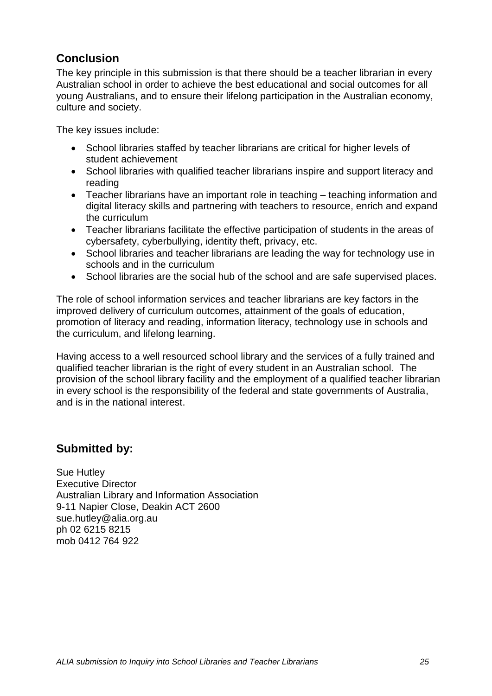# **Conclusion**

<span id="page-24-0"></span>The key principle in this submission is that there should be a teacher librarian in every Australian school in order to achieve the best educational and social outcomes for all young Australians, and to ensure their lifelong participation in the Australian economy, culture and society.

The key issues include:

- School libraries staffed by teacher librarians are critical for higher levels of student achievement
- School libraries with qualified teacher librarians inspire and support literacy and reading
- Teacher librarians have an important role in teaching teaching information and digital literacy skills and partnering with teachers to resource, enrich and expand the curriculum
- Teacher librarians facilitate the effective participation of students in the areas of cybersafety, cyberbullying, identity theft, privacy, etc.
- School libraries and teacher librarians are leading the way for technology use in schools and in the curriculum
- School libraries are the social hub of the school and are safe supervised places.

The role of school information services and teacher librarians are key factors in the improved delivery of curriculum outcomes, attainment of the goals of education, promotion of literacy and reading, information literacy, technology use in schools and the curriculum, and lifelong learning.

Having access to a well resourced school library and the services of a fully trained and qualified teacher librarian is the right of every student in an Australian school. The provision of the school library facility and the employment of a qualified teacher librarian in every school is the responsibility of the federal and state governments of Australia, and is in the national interest.

# **Submitted by:**

Sue Hutley Executive Director Australian Library and Information Association 9-11 Napier Close, Deakin ACT 2600 [sue.hutley@alia.org.au](mailto:sue.hutley@alia.org.au) ph 02 6215 8215 mob 0412 764 922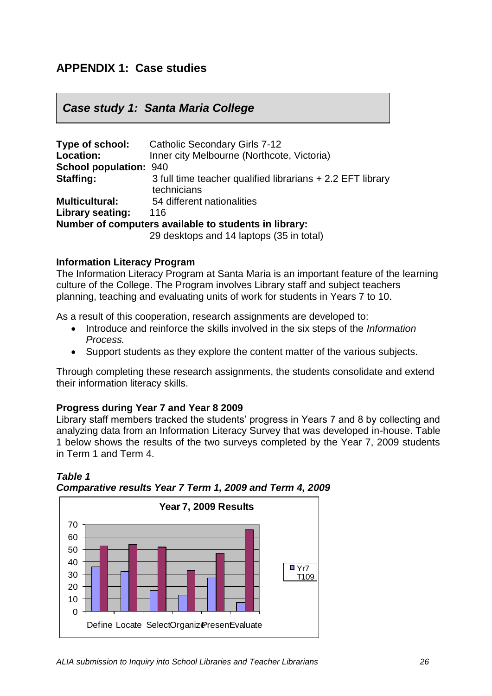# <span id="page-25-0"></span>**APPENDIX 1: Case studies**

## *Case study 1: Santa Maria College*

| Type of school:               | <b>Catholic Secondary Girls 7-12</b>                                      |
|-------------------------------|---------------------------------------------------------------------------|
| <b>Location:</b>              | Inner city Melbourne (Northcote, Victoria)                                |
| <b>School population: 940</b> |                                                                           |
| <b>Staffing:</b>              | 3 full time teacher qualified librarians + 2.2 EFT library<br>technicians |
| <b>Multicultural:</b>         | 54 different nationalities                                                |
| Library seating:              | 116                                                                       |
|                               | Number of computers available to students in library:                     |
|                               | 29 desktops and 14 laptops (35 in total)                                  |

#### **Information Literacy Program**

The Information Literacy Program at Santa Maria is an important feature of the learning culture of the College. The Program involves Library staff and subject teachers planning, teaching and evaluating units of work for students in Years 7 to 10.

As a result of this cooperation, research assignments are developed to:

- Introduce and reinforce the skills involved in the six steps of the *Information Process.*
- Support students as they explore the content matter of the various subjects.

Through completing these research assignments, the students consolidate and extend their information literacy skills.

#### **Progress during Year 7 and Year 8 2009**

Library staff members tracked the students" progress in Years 7 and 8 by collecting and analyzing data from an Information Literacy Survey that was developed in-house. Table 1 below shows the results of the two surveys completed by the Year 7, 2009 students in Term 1 and Term 4.



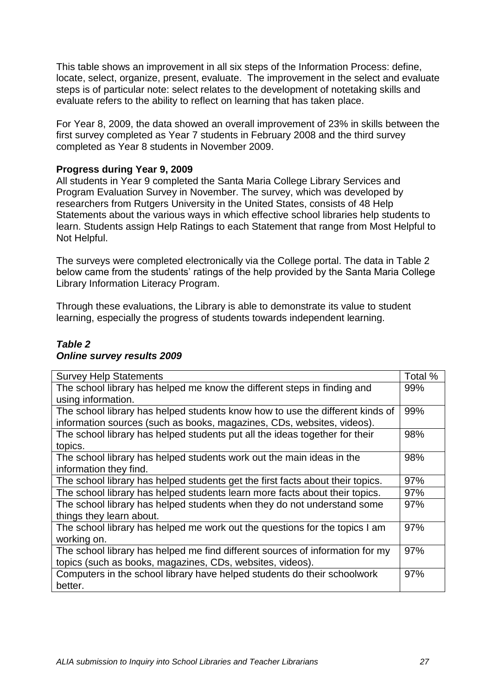This table shows an improvement in all six steps of the Information Process: define, locate, select, organize, present, evaluate. The improvement in the select and evaluate steps is of particular note: select relates to the development of notetaking skills and evaluate refers to the ability to reflect on learning that has taken place.

For Year 8, 2009, the data showed an overall improvement of 23% in skills between the first survey completed as Year 7 students in February 2008 and the third survey completed as Year 8 students in November 2009.

#### **Progress during Year 9, 2009**

All students in Year 9 completed the Santa Maria College Library Services and Program Evaluation Survey in November. The survey, which was developed by researchers from Rutgers University in the United States, consists of 48 Help Statements about the various ways in which effective school libraries help students to learn. Students assign Help Ratings to each Statement that range from Most Helpful to Not Helpful.

The surveys were completed electronically via the College portal. The data in Table 2 below came from the students' ratings of the help provided by the Santa Maria College Library Information Literacy Program.

Through these evaluations, the Library is able to demonstrate its value to student learning, especially the progress of students towards independent learning.

#### *Table 2 Online survey results 2009*

| <b>Survey Help Statements</b>                                                  | Total % |
|--------------------------------------------------------------------------------|---------|
| The school library has helped me know the different steps in finding and       | 99%     |
| using information.                                                             |         |
| The school library has helped students know how to use the different kinds of  | 99%     |
| information sources (such as books, magazines, CDs, websites, videos).         |         |
| The school library has helped students put all the ideas together for their    | 98%     |
| topics.                                                                        |         |
| The school library has helped students work out the main ideas in the          | 98%     |
| information they find.                                                         |         |
| The school library has helped students get the first facts about their topics. | 97%     |
| The school library has helped students learn more facts about their topics.    | 97%     |
| The school library has helped students when they do not understand some        | 97%     |
| things they learn about.                                                       |         |
| The school library has helped me work out the questions for the topics I am    | 97%     |
| working on.                                                                    |         |
| The school library has helped me find different sources of information for my  | 97%     |
| topics (such as books, magazines, CDs, websites, videos).                      |         |
| Computers in the school library have helped students do their schoolwork       | 97%     |
| better.                                                                        |         |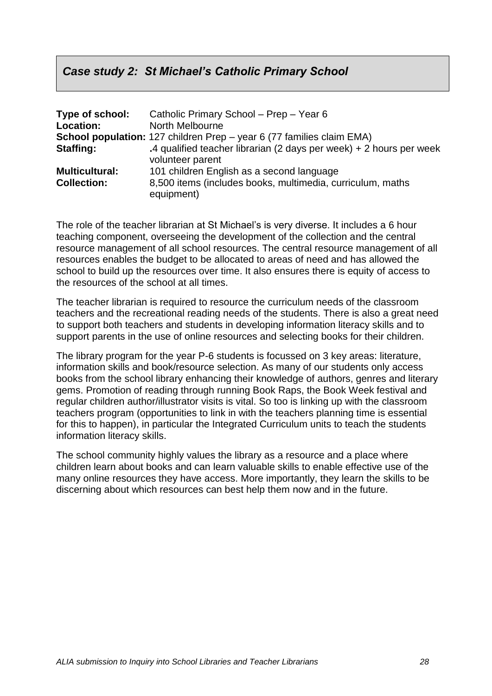# *Case study 2: St Michael's Catholic Primary School*

| Type of school:       | Catholic Primary School - Prep - Year 6                                                   |
|-----------------------|-------------------------------------------------------------------------------------------|
| <b>Location:</b>      | North Melbourne                                                                           |
|                       | <b>School population:</b> 127 children Prep – year 6 (77 families claim EMA)              |
| Staffing:             | .4 qualified teacher librarian (2 days per week) $+ 2$ hours per week<br>volunteer parent |
| <b>Multicultural:</b> | 101 children English as a second language                                                 |
| <b>Collection:</b>    | 8,500 items (includes books, multimedia, curriculum, maths<br>equipment)                  |

The role of the teacher librarian at St Michael"s is very diverse. It includes a 6 hour teaching component, overseeing the development of the collection and the central resource management of all school resources. The central resource management of all resources enables the budget to be allocated to areas of need and has allowed the school to build up the resources over time. It also ensures there is equity of access to the resources of the school at all times.

The teacher librarian is required to resource the curriculum needs of the classroom teachers and the recreational reading needs of the students. There is also a great need to support both teachers and students in developing information literacy skills and to support parents in the use of online resources and selecting books for their children.

The library program for the year P-6 students is focussed on 3 key areas: literature, information skills and book/resource selection. As many of our students only access books from the school library enhancing their knowledge of authors, genres and literary gems. Promotion of reading through running Book Raps, the Book Week festival and regular children author/illustrator visits is vital. So too is linking up with the classroom teachers program (opportunities to link in with the teachers planning time is essential for this to happen), in particular the Integrated Curriculum units to teach the students information literacy skills.

The school community highly values the library as a resource and a place where children learn about books and can learn valuable skills to enable effective use of the many online resources they have access. More importantly, they learn the skills to be discerning about which resources can best help them now and in the future.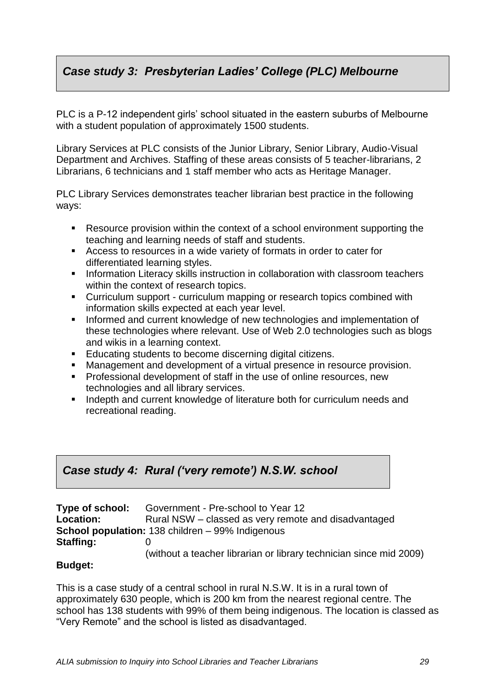# *Case study 3: Presbyterian Ladies' College (PLC) Melbourne*

PLC is a P-12 independent girls' school situated in the eastern suburbs of Melbourne with a student population of approximately 1500 students.

Library Services at PLC consists of the Junior Library, Senior Library, Audio-Visual Department and Archives. Staffing of these areas consists of 5 teacher-librarians, 2 Librarians, 6 technicians and 1 staff member who acts as Heritage Manager.

PLC Library Services demonstrates teacher librarian best practice in the following ways:

- Resource provision within the context of a school environment supporting the teaching and learning needs of staff and students.
- Access to resources in a wide variety of formats in order to cater for differentiated learning styles.
- **Information Literacy skills instruction in collaboration with classroom teachers** within the context of research topics.
- Curriculum support curriculum mapping or research topics combined with information skills expected at each year level.
- **Informed and current knowledge of new technologies and implementation of** these technologies where relevant. Use of Web 2.0 technologies such as blogs and wikis in a learning context.
- **Educating students to become discerning digital citizens.**
- Management and development of a virtual presence in resource provision.
- **Professional development of staff in the use of online resources, new** technologies and all library services.
- **Indepth and current knowledge of literature both for curriculum needs and** recreational reading.

# *Case study 4: Rural ('very remote') N.S.W. school*

| Type of school:  | Government - Pre-school to Year 12                                 |
|------------------|--------------------------------------------------------------------|
| <b>Location:</b> | Rural NSW – classed as very remote and disadvantaged               |
|                  | <b>School population:</b> 138 children – 99% Indigenous            |
| <b>Staffing:</b> |                                                                    |
|                  | (without a teacher librarian or library technician since mid 2009) |

#### **Budget:**

This is a case study of a central school in rural N.S.W. It is in a rural town of approximately 630 people, which is 200 km from the nearest regional centre. The school has 138 students with 99% of them being indigenous. The location is classed as "Very Remote" and the school is listed as disadvantaged.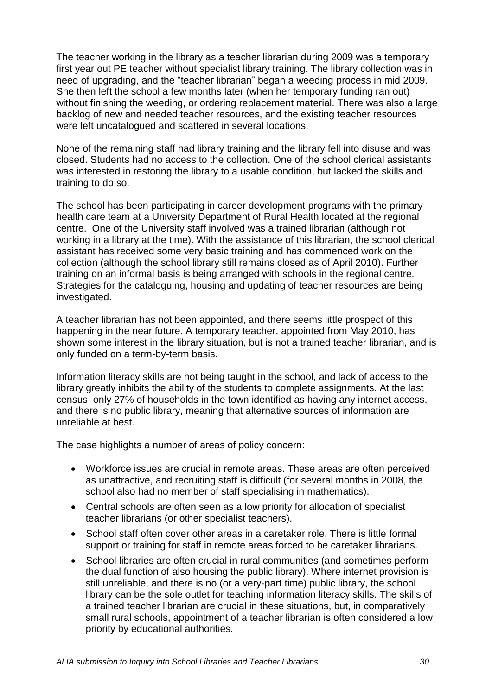The teacher working in the library as a teacher librarian during 2009 was a temporary first year out PE teacher without specialist library training. The library collection was in need of upgrading, and the "teacher librarian" began a weeding process in mid 2009. She then left the school a few months later (when her temporary funding ran out) without finishing the weeding, or ordering replacement material. There was also a large backlog of new and needed teacher resources, and the existing teacher resources were left uncatalogued and scattered in several locations.

None of the remaining staff had library training and the library fell into disuse and was closed. Students had no access to the collection. One of the school clerical assistants was interested in restoring the library to a usable condition, but lacked the skills and training to do so.

The school has been participating in career development programs with the primary health care team at a University Department of Rural Health located at the regional centre. One of the University staff involved was a trained librarian (although not working in a library at the time). With the assistance of this librarian, the school clerical assistant has received some very basic training and has commenced work on the collection (although the school library still remains closed as of April 2010). Further training on an informal basis is being arranged with schools in the regional centre. Strategies for the cataloguing, housing and updating of teacher resources are being investigated.

A teacher librarian has not been appointed, and there seems little prospect of this happening in the near future. A temporary teacher, appointed from May 2010, has shown some interest in the library situation, but is not a trained teacher librarian, and is only funded on a term-by-term basis.

Information literacy skills are not being taught in the school, and lack of access to the library greatly inhibits the ability of the students to complete assignments. At the last census, only 27% of households in the town identified as having any internet access, and there is no public library, meaning that alternative sources of information are unreliable at best.

The case highlights a number of areas of policy concern:

- Workforce issues are crucial in remote areas. These areas are often perceived as unattractive, and recruiting staff is difficult (for several months in 2008, the school also had no member of staff specialising in mathematics).
- Central schools are often seen as a low priority for allocation of specialist teacher librarians (or other specialist teachers).
- School staff often cover other areas in a caretaker role. There is little formal support or training for staff in remote areas forced to be caretaker librarians.
- School libraries are often crucial in rural communities (and sometimes perform the dual function of also housing the public library). Where internet provision is still unreliable, and there is no (or a very-part time) public library, the school library can be the sole outlet for teaching information literacy skills. The skills of a trained teacher librarian are crucial in these situations, but, in comparatively small rural schools, appointment of a teacher librarian is often considered a low priority by educational authorities.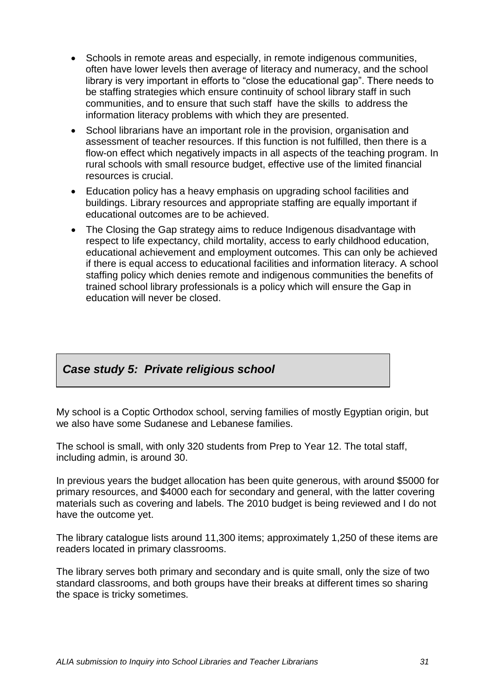- Schools in remote areas and especially, in remote indigenous communities, often have lower levels then average of literacy and numeracy, and the school library is very important in efforts to "close the educational gap". There needs to be staffing strategies which ensure continuity of school library staff in such communities, and to ensure that such staff have the skills to address the information literacy problems with which they are presented.
- School librarians have an important role in the provision, organisation and assessment of teacher resources. If this function is not fulfilled, then there is a flow-on effect which negatively impacts in all aspects of the teaching program. In rural schools with small resource budget, effective use of the limited financial resources is crucial.
- Education policy has a heavy emphasis on upgrading school facilities and buildings. Library resources and appropriate staffing are equally important if educational outcomes are to be achieved.
- The Closing the Gap strategy aims to reduce Indigenous disadvantage with respect to life expectancy, child mortality, access to early childhood education, educational achievement and employment outcomes. This can only be achieved if there is equal access to educational facilities and information literacy. A school staffing policy which denies remote and indigenous communities the benefits of trained school library professionals is a policy which will ensure the Gap in education will never be closed.

# *Case study 5: Private religious school*

My school is a Coptic Orthodox school, serving families of mostly Egyptian origin, but we also have some Sudanese and Lebanese families.

The school is small, with only 320 students from Prep to Year 12. The total staff, including admin, is around 30.

In previous years the budget allocation has been quite generous, with around \$5000 for primary resources, and \$4000 each for secondary and general, with the latter covering materials such as covering and labels. The 2010 budget is being reviewed and I do not have the outcome yet.

The library catalogue lists around 11,300 items; approximately 1,250 of these items are readers located in primary classrooms.

The library serves both primary and secondary and is quite small, only the size of two standard classrooms, and both groups have their breaks at different times so sharing the space is tricky sometimes.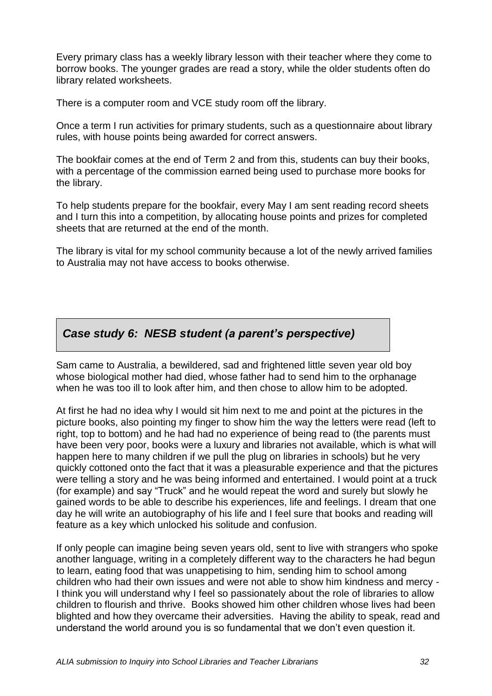Every primary class has a weekly library lesson with their teacher where they come to borrow books. The younger grades are read a story, while the older students often do library related worksheets.

There is a computer room and VCE study room off the library.

Once a term I run activities for primary students, such as a questionnaire about library rules, with house points being awarded for correct answers.

The bookfair comes at the end of Term 2 and from this, students can buy their books, with a percentage of the commission earned being used to purchase more books for the library.

To help students prepare for the bookfair, every May I am sent reading record sheets and I turn this into a competition, by allocating house points and prizes for completed sheets that are returned at the end of the month.

The library is vital for my school community because a lot of the newly arrived families to Australia may not have access to books otherwise.

## *Case study 6: NESB student (a parent's perspective)*

Sam came to Australia, a bewildered, sad and frightened little seven year old boy whose biological mother had died, whose father had to send him to the orphanage when he was too ill to look after him, and then chose to allow him to be adopted.

At first he had no idea why I would sit him next to me and point at the pictures in the picture books, also pointing my finger to show him the way the letters were read (left to right, top to bottom) and he had had no experience of being read to (the parents must have been very poor, books were a luxury and libraries not available, which is what will happen here to many children if we pull the plug on libraries in schools) but he very quickly cottoned onto the fact that it was a pleasurable experience and that the pictures were telling a story and he was being informed and entertained. I would point at a truck (for example) and say "Truck" and he would repeat the word and surely but slowly he gained words to be able to describe his experiences, life and feelings. I dream that one day he will write an autobiography of his life and I feel sure that books and reading will feature as a key which unlocked his solitude and confusion.

If only people can imagine being seven years old, sent to live with strangers who spoke another language, writing in a completely different way to the characters he had begun to learn, eating food that was unappetising to him, sending him to school among children who had their own issues and were not able to show him kindness and mercy - I think you will understand why I feel so passionately about the role of libraries to allow children to flourish and thrive. Books showed him other children whose lives had been blighted and how they overcame their adversities. Having the ability to speak, read and understand the world around you is so fundamental that we don"t even question it.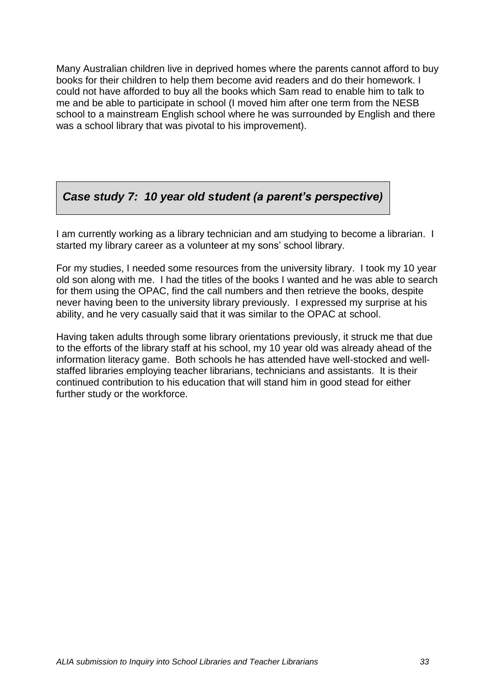Many Australian children live in deprived homes where the parents cannot afford to buy books for their children to help them become avid readers and do their homework. I could not have afforded to buy all the books which Sam read to enable him to talk to me and be able to participate in school (I moved him after one term from the NESB school to a mainstream English school where he was surrounded by English and there was a school library that was pivotal to his improvement).

# *Case study 7: 10 year old student (a parent's perspective)*

I am currently working as a library technician and am studying to become a librarian. I started my library career as a volunteer at my sons' school library.

For my studies, I needed some resources from the university library. I took my 10 year old son along with me. I had the titles of the books I wanted and he was able to search for them using the OPAC, find the call numbers and then retrieve the books, despite never having been to the university library previously. I expressed my surprise at his ability, and he very casually said that it was similar to the OPAC at school.

Having taken adults through some library orientations previously, it struck me that due to the efforts of the library staff at his school, my 10 year old was already ahead of the information literacy game. Both schools he has attended have well-stocked and wellstaffed libraries employing teacher librarians, technicians and assistants. It is their continued contribution to his education that will stand him in good stead for either further study or the workforce.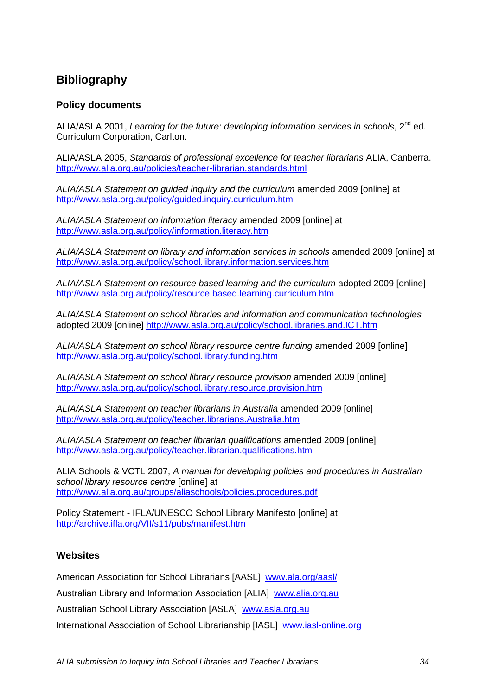# <span id="page-33-0"></span>**Bibliography**

#### **Policy documents**

ALIA/ASLA 2001, *Learning for the future: developing information services in schools*, 2nd ed. Curriculum Corporation, Carlton.

ALIA/ASLA 2005, *Standards of professional excellence for teacher librarians* ALIA, Canberra. <http://www.alia.org.au/policies/teacher-librarian.standards.html>

*ALIA/ASLA Statement on guided inquiry and the curriculum* amended 2009 [online] at <http://www.asla.org.au/policy/guided.inquiry.curriculum.htm>

*ALIA/ASLA Statement on information literacy* amended 2009 [online] at <http://www.asla.org.au/policy/information.literacy.htm>

*ALIA/ASLA Statement on library and information services in schools* amended 2009 [online] at <http://www.asla.org.au/policy/school.library.information.services.htm>

*ALIA/ASLA Statement on resource based learning and the curriculum* adopted 2009 [online] <http://www.asla.org.au/policy/resource.based.learning.curriculum.htm>

*ALIA/ASLA Statement on school libraries and information and communication technologies* adopted 2009 [online]<http://www.asla.org.au/policy/school.libraries.and.ICT.htm>

*ALIA/ASLA Statement on school library resource centre funding* amended 2009 [online] <http://www.asla.org.au/policy/school.library.funding.htm>

*ALIA/ASLA Statement on school library resource provision* amended 2009 [online] <http://www.asla.org.au/policy/school.library.resource.provision.htm>

*ALIA/ASLA Statement on teacher librarians in Australia* amended 2009 [online] <http://www.asla.org.au/policy/teacher.librarians.Australia.htm>

*ALIA/ASLA Statement on teacher librarian qualifications* amended 2009 [online] <http://www.asla.org.au/policy/teacher.librarian.qualifications.htm>

ALIA Schools & VCTL 2007, *A manual for developing policies and procedures in Australian school library resource centre* [online] at <http://www.alia.org.au/groups/aliaschools/policies.procedures.pdf>

Policy Statement - IFLA/UNESCO School Library Manifesto [online] at <http://archive.ifla.org/VII/s11/pubs/manifest.htm>

#### **Websites**

American Association for School Librarians [AASL] [www.ala.org/aasl/](http://www.ala.org/aasl/)

Australian Library and Information Association [ALIA] [www.alia.org.au](http://www.alia.org.au/)

Australian School Library Association [ASLA] [www.asla.org.au](http://www.asla.org.au/)

International Association of School Librarianship [IASL] www.iasl-online.org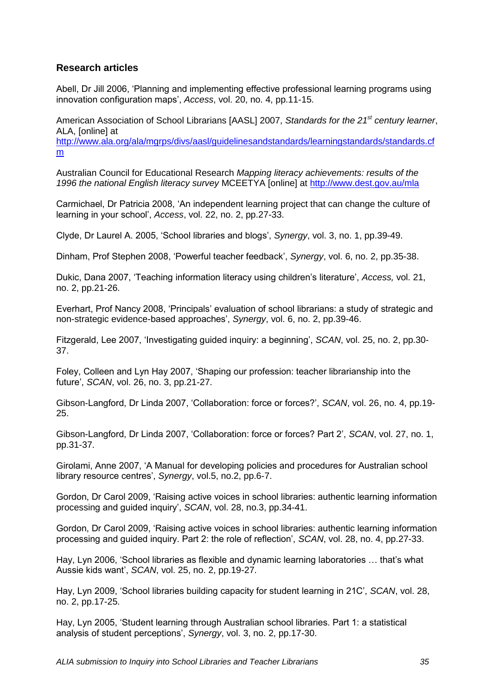#### **Research articles**

Abell, Dr Jill 2006, "Planning and implementing effective professional learning programs using innovation configuration maps", *Access*, vol. 20, no. 4, pp.11-15.

American Association of School Librarians [AASL] 2007, *Standards for the 21st century learner*, ALA, [online] at [http://www.ala.org/ala/mgrps/divs/aasl/guidelinesandstandards/learningstandards/standards.cf](http://www.ala.org/ala/mgrps/divs/aasl/guidelinesandstandards/learningstandards/standards.cfm) [m](http://www.ala.org/ala/mgrps/divs/aasl/guidelinesandstandards/learningstandards/standards.cfm)

Australian Council for Educational Research *Mapping literacy achievements: results of the 1996 the national English literacy survey* MCEETYA [online] at<http://www.dest.gov.au/mla>

Carmichael, Dr Patricia 2008, "An independent learning project that can change the culture of learning in your school", *Access*, vol. 22, no. 2, pp.27-33.

Clyde, Dr Laurel A. 2005, "School libraries and blogs", *Synergy*, vol. 3, no. 1, pp.39-49.

Dinham, Prof Stephen 2008, "Powerful teacher feedback", *Synergy*, vol. 6, no. 2, pp.35-38.

Dukic, Dana 2007, "Teaching information literacy using children"s literature", *Access,* vol. 21, no. 2, pp.21-26.

Everhart, Prof Nancy 2008, "Principals" evaluation of school librarians: a study of strategic and non-strategic evidence-based approaches", *Synergy*, vol. 6, no. 2, pp.39-46.

Fitzgerald, Lee 2007, "Investigating guided inquiry: a beginning", *SCAN*, vol. 25, no. 2, pp.30- 37.

Foley, Colleen and Lyn Hay 2007, "Shaping our profession: teacher librarianship into the future", *SCAN*, vol. 26, no. 3, pp.21-27.

Gibson-Langford, Dr Linda 2007, "Collaboration: force or forces?", *SCAN*, vol. 26, no. 4, pp.19- 25.

Gibson-Langford, Dr Linda 2007, "Collaboration: force or forces? Part 2", *SCAN*, vol. 27, no. 1, pp.31-37.

Girolami, Anne 2007, "A Manual for developing policies and procedures for Australian school library resource centres', *Synergy*, vol.5, no.2, pp.6-7.

Gordon, Dr Carol 2009, "Raising active voices in school libraries: authentic learning information processing and guided inquiry", *SCAN*, vol. 28, no.3, pp.34-41.

Gordon, Dr Carol 2009, "Raising active voices in school libraries: authentic learning information processing and guided inquiry. Part 2: the role of reflection', *SCAN*, vol. 28, no. 4, pp.27-33.

Hay, Lyn 2006, 'School libraries as flexible and dynamic learning laboratories ... that's what Aussie kids want", *SCAN*, vol. 25, no. 2, pp.19-27.

Hay, Lyn 2009, "School libraries building capacity for student learning in 21C", *SCAN*, vol. 28, no. 2, pp.17-25.

Hay, Lyn 2005, "Student learning through Australian school libraries. Part 1: a statistical analysis of student perceptions", *Synergy*, vol. 3, no. 2, pp.17-30.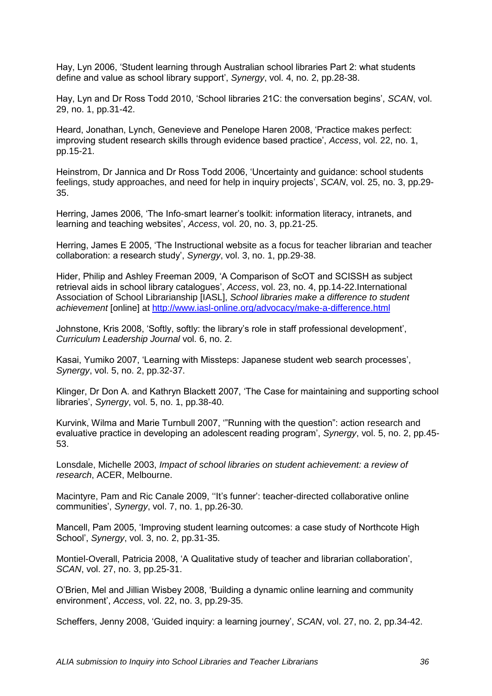Hay, Lyn 2006, "Student learning through Australian school libraries Part 2: what students define and value as school library support", *Synergy*, vol. 4, no. 2, pp.28-38.

Hay, Lyn and Dr Ross Todd 2010, "School libraries 21C: the conversation begins", *SCAN*, vol. 29, no. 1, pp.31-42.

Heard, Jonathan, Lynch, Genevieve and Penelope Haren 2008, "Practice makes perfect: improving student research skills through evidence based practice", *Access*, vol. 22, no. 1, pp.15-21.

Heinstrom, Dr Jannica and Dr Ross Todd 2006, "Uncertainty and guidance: school students feelings, study approaches, and need for help in inquiry projects', *SCAN*, vol. 25, no. 3, pp.29-35.

Herring, James 2006, "The Info-smart learner"s toolkit: information literacy, intranets, and learning and teaching websites", *Access*, vol. 20, no. 3, pp.21-25.

Herring, James E 2005, "The Instructional website as a focus for teacher librarian and teacher collaboration: a research study", *Synergy*, vol. 3, no. 1, pp.29-38.

Hider, Philip and Ashley Freeman 2009, "A Comparison of ScOT and SCISSH as subject retrieval aids in school library catalogues", *Access*, vol. 23, no. 4, pp.14-22.International Association of School Librarianship [IASL], *School libraries make a difference to student achievement* [online] at<http://www.iasl-online.org/advocacy/make-a-difference.html>

Johnstone, Kris 2008, 'Softly, softly: the library's role in staff professional development', *Curriculum Leadership Journal* vol. 6, no. 2.

Kasai, Yumiko 2007, "Learning with Missteps: Japanese student web search processes", *Synergy*, vol. 5, no. 2, pp.32-37.

Klinger, Dr Don A. and Kathryn Blackett 2007, "The Case for maintaining and supporting school libraries", *Synergy*, vol. 5, no. 1, pp.38-40.

Kurvink, Wilma and Marie Turnbull 2007, ""Running with the question": action research and evaluative practice in developing an adolescent reading program", *Synergy*, vol. 5, no. 2, pp.45- 53.

Lonsdale, Michelle 2003, *Impact of school libraries on student achievement: a review of research*, ACER, Melbourne.

Macintyre, Pam and Ric Canale 2009, ""It"s funner": teacher-directed collaborative online communities", *Synergy*, vol. 7, no. 1, pp.26-30.

Mancell, Pam 2005, "Improving student learning outcomes: a case study of Northcote High School", *Synergy*, vol. 3, no. 2, pp.31-35.

Montiel-Overall, Patricia 2008, "A Qualitative study of teacher and librarian collaboration", *SCAN*, vol. 27, no. 3, pp.25-31.

O"Brien, Mel and Jillian Wisbey 2008, "Building a dynamic online learning and community environment", *Access*, vol. 22, no. 3, pp.29-35.

Scheffers, Jenny 2008, "Guided inquiry: a learning journey", *SCAN*, vol. 27, no. 2, pp.34-42.